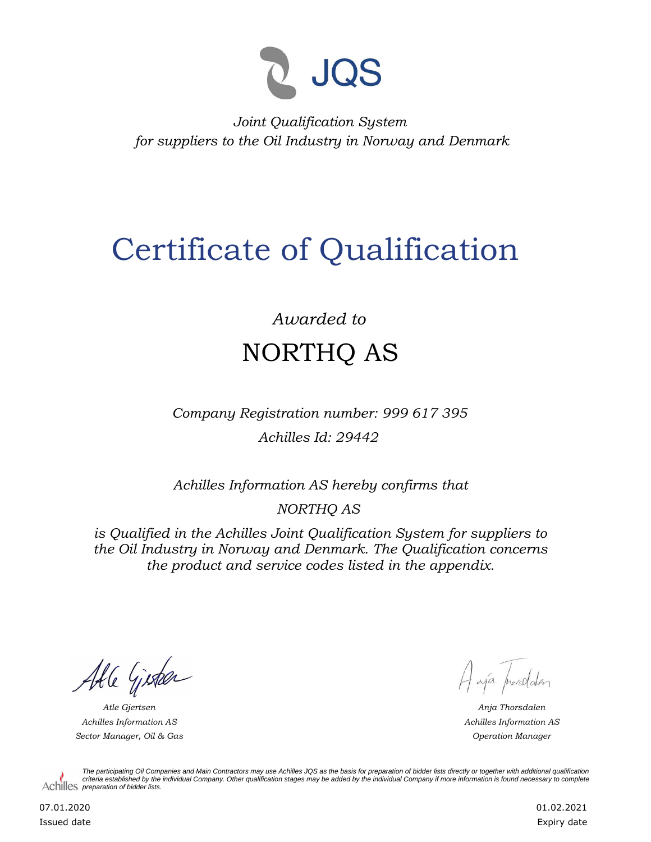

*Joint Qualification System for suppliers to the Oil Industry in Norway and Denmark*

## Certificate of Qualification

## *Awarded to* NORTHQ AS

*Company Registration number: 999 617 395 Achilles Id: 29442*

*Achilles Information AS hereby confirms that*

*NORTHQ AS*

*is Qualified in the Achilles Joint Qualification System for suppliers to the Oil Industry in Norway and Denmark. The Qualification concerns the product and service codes listed in the appendix.*

Able Gister

*Achilles Information AS Sector Manager, Oil & Gas Operation Manager*

Hajá prorodden

*Atle Gjertsen Anja Thorsdalen Achilles Information AS*

*The participating Oil Companies and Main Contractors may use Achilles JQS as the basis for preparation of bidder lists directly or together with additional qualification criteria established by the individual Company. Other qualification stages may be added by the individual Company if more information is found necessary to complete*  Achilles *preparation of bidder lists*.

07.01.2020 Issued date